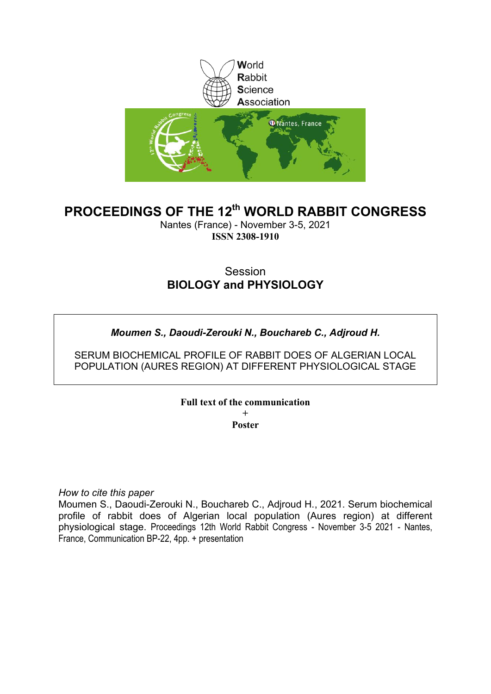

## **PROCEEDINGS OF THE 12th WORLD RABBIT CONGRESS**

Nantes (France) - November 3-5, 2021 **ISSN 2308-1910**

## **Session BIOLOGY and PHYSIOLOGY**

## *Moumen S., Daoudi-Zerouki N., Bouchareb C., Adjroud H.*

SERUM BIOCHEMICAL PROFILE OF RABBIT DOES OF ALGERIAN LOCAL POPULATION (AURES REGION) AT DIFFERENT PHYSIOLOGICAL STAGE

**Full text of the communication** 

**+ Poster**

*How to cite this paper*

Moumen S., Daoudi-Zerouki N., Bouchareb C., Adjroud H., 2021. Serum biochemical profile of rabbit does of Algerian local population (Aures region) at different physiological stage. Proceedings 12th World Rabbit Congress - November 3-5 2021 - Nantes, France, Communication BP-22, 4pp. + presentation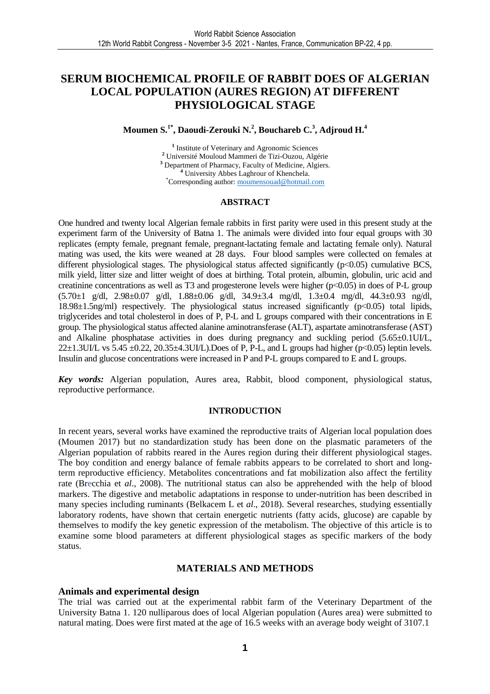### **SERUM BIOCHEMICAL PROFILE OF RABBIT DOES OF ALGERIAN LOCAL POPULATION (AURES REGION) AT DIFFERENT PHYSIOLOGICAL STAGE**

### **Moumen S.1\*, Daoudi-Zerouki N.<sup>2</sup> , Bouchareb C.<sup>3</sup> , Adjroud H.<sup>4</sup>**

<sup>1</sup> Institute of Veterinary and Agronomic Sciences **<sup>2</sup>** Université Mouloud Mammeri de Tizi-Ouzou, Algérie **3** Department of Pharmacy, Faculty of Medicine, Algiers. **<sup>4</sup>** University Abbes Laghrour of Khenchela. \*Corresponding author: moumensouad@hotmail.com

#### **ABSTRACT**

One hundred and twenty local Algerian female rabbits in first parity were used in this present study at the experiment farm of the University of Batna 1. The animals were divided into four equal groups with 30 replicates (empty female, pregnant female, pregnant-lactating female and lactating female only). Natural mating was used, the kits were weaned at 28 days. Four blood samples were collected on females at different physiological stages. The physiological status affected significantly (p<0.05) cumulative BCS, milk yield, litter size and litter weight of does at birthing. Total protein, albumin, globulin, uric acid and creatinine concentrations as well as T3 and progesterone levels were higher (p˂0.05) in does of P-L group (5.70±1 g/dl, 2.98±0.07 g/dl, 1.88±0.06 g/dl, 34.9±3.4 mg/dl, 1.3±0.4 mg/dl, 44.3±0.93 ng/dl, 18.98±1.5ng/ml) respectively. The physiological status increased significantly (p˂0.05) total lipids, triglycerides and total cholesterol in does of P, P-L and L groups compared with their concentrations in E group. The physiological status affected alanine aminotransferase (ALT), aspartate aminotransferase (AST) and Alkaline phosphatase activities in does during pregnancy and suckling period (5.65±0.1UI/L,  $22\pm1.3$ UI/L vs  $5.45\pm0.22$ ,  $20.35\pm4.3$ UI/L). Does of P, P-L, and L groups had higher (p<0.05) leptin levels. Insulin and glucose concentrations were increased in P and P-L groups compared to E and L groups.

*Key words:* Algerian population, Aures area, Rabbit, blood component, physiological status, reproductive performance.

#### **INTRODUCTION**

In recent years, several works have examined the reproductive traits of Algerian local population does (Moumen 2017) but no standardization study has been done on the plasmatic parameters of the Algerian population of rabbits reared in the Aures region during their different physiological stages. The boy condition and energy balance of female rabbits appears to be correlated to short and longterm reproductive efficiency. Metabolites concentrations and fat mobilization also affect the fertility rate (Brecchia et *al*., 2008). The nutritional status can also be apprehended with the help of blood markers. The digestive and metabolic adaptations in response to under-nutrition has been described in many species including ruminants (Belkacem L et *al*., 2018). Several researches, studying essentially laboratory rodents, have shown that certain energetic nutrients (fatty acids, glucose) are capable by themselves to modify the key genetic expression of the metabolism. The objective of this article is to examine some blood parameters at different physiological stages as specific markers of the body status.

#### **MATERIALS AND METHODS**

#### **Animals and experimental design**

The trial was carried out at the experimental rabbit farm of the Veterinary Department of the University Batna 1. 120 nulliparous does of local Algerian population (Aures area) were submitted to natural mating. Does were first mated at the age of 16.5 weeks with an average body weight of 3107.1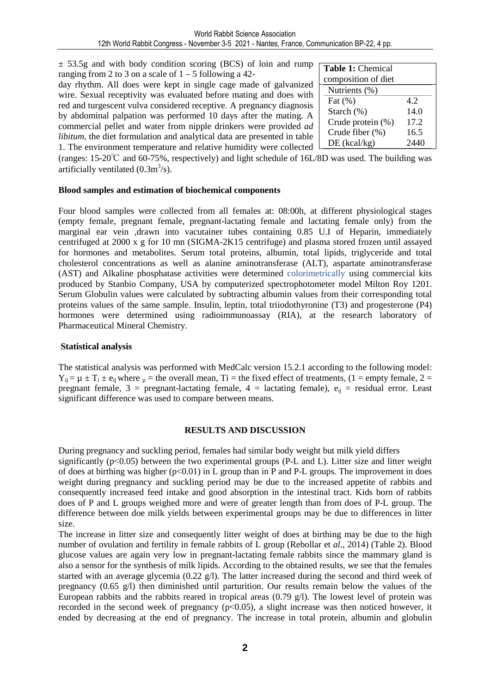$\pm$  53.5g and with body condition scoring (BCS) of loin and rump ranging from 2 to 3 on a scale of  $1 - 5$  following a 42-

day rhythm. All does were kept in single cage made of galvanized wire. Sexual receptivity was evaluated before mating and does with red and turgescent vulva considered receptive. A pregnancy diagnosis by abdominal palpation was performed 10 days after the mating. A commercial pellet and water from nipple drinkers were provided *ad libitum*, the diet formulation and analytical data are presented in table 1. The environment temperature and relative humidity were collected

| <b>Table 1: Chemical</b> |      |  |  |  |  |
|--------------------------|------|--|--|--|--|
| composition of diet      |      |  |  |  |  |
| Nutrients (%)            |      |  |  |  |  |
| Fat $(\% )$              | 42   |  |  |  |  |
| Starch (%)               | 14.0 |  |  |  |  |
| Crude protein (%)        | 17.2 |  |  |  |  |
| Crude fiber (%)          | 16.5 |  |  |  |  |
| $DE$ (kcal/kg)           | 94.  |  |  |  |  |

(ranges: 15-20℃ and 60-75%, respectively) and light schedule of 16L/8D was used. The building was artificially ventilated  $(0.3 \text{m}^3/\text{s})$ .

#### **Blood samples and estimation of biochemical components**

Four blood samples were collected from all females at: 08:00h, at different physiological stages (empty female, pregnant female, pregnant-lactating female and lactating female only) from the marginal ear vein ,drawn into vacutainer tubes containing 0.85 U.I of Heparin, immediately centrifuged at 2000 x g for 10 mn (SIGMA-2K15 centrifuge) and plasma stored frozen until assayed for hormones and metabolites. Serum total proteins, albumin, total lipids, triglyceride and total cholesterol concentrations as well as alanine aminotransferase (ALT), aspartate aminotransferase (AST) and Alkaline phosphatase activities were determined colorimetrically using commercial kits produced by Stanbio Company, USA by computerized spectrophotometer model Milton Roy 1201. Serum Globulin values were calculated by subtracting albumin values from their corresponding total proteins values of the same sample. Insulin, leptin, total triiodothyronine (T3) and progesterone (P4) hormones were determined using radioimmunoassay (RIA), at the research laboratory of Pharmaceutical Mineral Chemistry.

#### **Statistical analysis**

The statistical analysis was performed with MedCalc version 15.2.1 according to the following model:  $Y_{ij} = \mu \pm T_i \pm e_{ij}$  where  $\mu$  = the overall mean, Ti = the fixed effect of treatments, (1 = empty female, 2 = pregnant female, 3 = pregnant-lactating female, 4 = lactating female),  $e_{ii}$  = residual error. Least significant difference was used to compare between means.

#### **RESULTS AND DISCUSSION**

During pregnancy and suckling period, females had similar body weight but milk yield differs significantly (p<0.05) between the two experimental groups (P-L and L). Litter size and litter weight of does at birthing was higher  $(p<0.01)$  in L group than in P and P-L groups. The improvement in does weight during pregnancy and suckling period may be due to the increased appetite of rabbits and consequently increased feed intake and good absorption in the intestinal tract. Kids born of rabbits does of P and L groups weighed more and were of greater length than from does of P-L group. The difference between doe milk yields between experimental groups may be due to differences in litter size.

The increase in litter size and consequently litter weight of does at birthing may be due to the high number of ovulation and fertility in female rabbits of L group (Rebollar et *al*., 2014) (Table 2). Blood glucose values are again very low in pregnant-lactating female rabbits since the mammary gland is also a sensor for the synthesis of milk lipids. According to the obtained results, we see that the females started with an average glycemia (0.22  $g$ /l). The latter increased during the second and third week of pregnancy  $(0.65 \text{ g/l})$  then diminished until parturition. Our results remain below the values of the European rabbits and the rabbits reared in tropical areas (0.79 g/l). The lowest level of protein was recorded in the second week of pregnancy (p˂0.05), a slight increase was then noticed however, it ended by decreasing at the end of pregnancy. The increase in total protein, albumin and globulin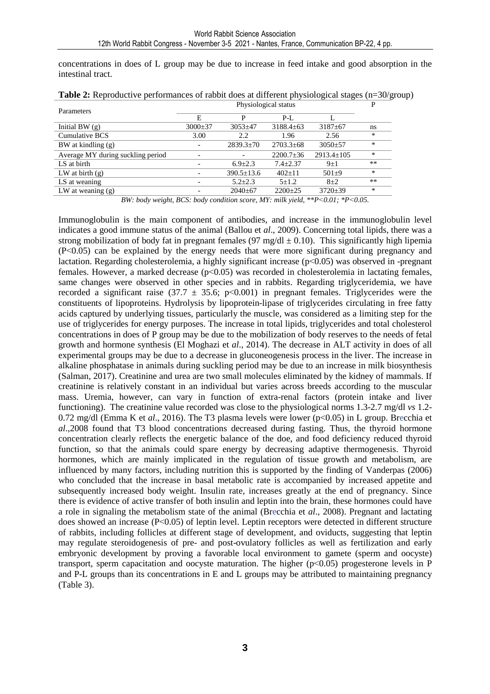concentrations in does of L group may be due to increase in feed intake and good absorption in the intestinal tract.

| Parameters                        | Physiological status |                  |                 |                  |        |
|-----------------------------------|----------------------|------------------|-----------------|------------------|--------|
|                                   | E                    | D                | $P-I$ .         |                  |        |
| Initial BW $(g)$                  | $3000 \pm 37$        | $3053 \pm 47$    | $3188.4 \pm 63$ | $3187 \pm 67$    | ns     |
| Cumulative BCS                    | 3.00                 | 2.2              | 1.96            | 2.56             | *      |
| $BW$ at kindling $(g)$            |                      | $2839.3 \pm 70$  | $2703.3 \pm 68$ | $3050+57$        | *      |
| Average MY during suckling period |                      |                  | $2200.7 \pm 36$ | $2913.4 \pm 105$ | $\ast$ |
| LS at birth                       |                      | $6.9 \pm 2.3$    | $7.4 + 2.37$    | $9+1$            | **     |
| LW at birth $(g)$                 |                      | $390.5 \pm 13.6$ | $402+11$        | $501+9$          | $\ast$ |
| LS at weaning                     |                      | $5.2 + 2.3$      | $5+1.2$         | $8+2$            | **     |
| LW at weaning $(g)$               |                      | $2040 \pm 67$    | $2200+25$       | $3720 \pm 39$    | $\ast$ |

**Table 2:** Reproductive performances of rabbit does at different physiological stages (n=30/group)

*BW: body weight, BCS: body condition score, MY: milk yield, \*\*P˂0.01; \*P˂0.05.* 

Immunoglobulin is the main component of antibodies, and increase in the immunoglobulin level indicates a good immune status of the animal (Ballou et *al*., 2009). Concerning total lipids, there was a strong mobilization of body fat in pregnant females (97 mg/dl  $\pm$  0.10). This significantly high lipemia (P˂0.05) can be explained by the energy needs that were more significant during pregnancy and lactation. Regarding cholesterolemia, a highly significant increase (p˂0.05) was observed in -pregnant females. However, a marked decrease (p˂0.05) was recorded in cholesterolemia in lactating females, same changes were observed in other species and in rabbits. Regarding triglyceridemia, we have recorded a significant raise (37.7  $\pm$  35.6; p<0.001) in pregnant females. Triglycerides were the constituents of lipoproteins. Hydrolysis by lipoprotein-lipase of triglycerides circulating in free fatty acids captured by underlying tissues, particularly the muscle, was considered as a limiting step for the use of triglycerides for energy purposes. The increase in total lipids, triglycerides and total cholesterol concentrations in does of P group may be due to the mobilization of body reserves to the needs of fetal growth and hormone synthesis (El Moghazi et *al*., 2014). The decrease in ALT activity in does of all experimental groups may be due to a decrease in gluconeogenesis process in the liver. The increase in alkaline phosphatase in animals during suckling period may be due to an increase in milk biosynthesis (Salman, 2017). Creatinine and urea are two small molecules eliminated by the kidney of mammals. If creatinine is relatively constant in an individual but varies across breeds according to the muscular mass. Uremia, however, can vary in function of extra-renal factors (protein intake and liver functioning). The creatinine value recorded was close to the physiological norms 1.3-2.7 mg/dl *vs* 1.2- 0.72 mg/dl (Emma K et *al*., 2016). The T3 plasma levels were lower (p˂0.05) in L group. Brecchia et *al*.,2008 found that T3 blood concentrations decreased during fasting. Thus, the thyroid hormone concentration clearly reflects the energetic balance of the doe, and food deficiency reduced thyroid function, so that the animals could spare energy by decreasing adaptive thermogenesis. Thyroid hormones, which are mainly implicated in the regulation of tissue growth and metabolism, are influenced by many factors, including nutrition this is supported by the finding of Vanderpas (2006) who concluded that the increase in basal metabolic rate is accompanied by increased appetite and subsequently increased body weight. Insulin rate, increases greatly at the end of pregnancy. Since there is evidence of active transfer of both insulin and leptin into the brain, these hormones could have a role in signaling the metabolism state of the animal (Brecchia et *al*., 2008). Pregnant and lactating does showed an increase (P˂0.05) of leptin level. Leptin receptors were detected in different structure of rabbits, including follicles at different stage of development, and oviducts, suggesting that leptin may regulate steroidogenesis of pre- and post-ovulatory follicles as well as fertilization and early embryonic development by proving a favorable local environment to gamete (sperm and oocyste) transport, sperm capacitation and oocyste maturation. The higher (p˂0.05) progesterone levels in P and P-L groups than its concentrations in E and L groups may be attributed to maintaining pregnancy (Table 3).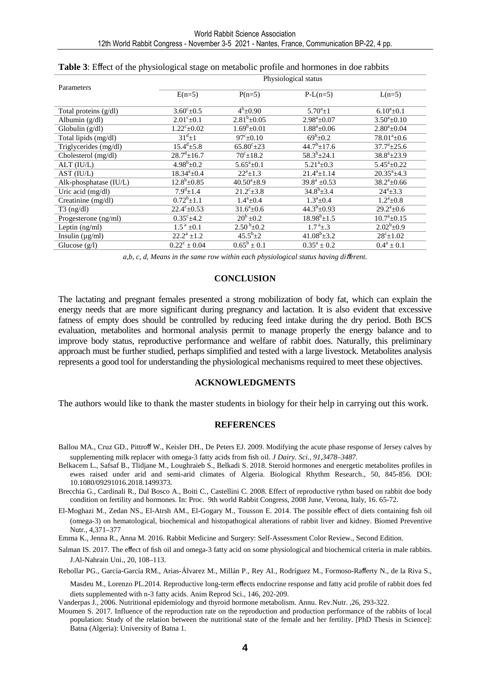|                          | Physiological status        |                          |                         |                            |  |  |
|--------------------------|-----------------------------|--------------------------|-------------------------|----------------------------|--|--|
| Parameters               | $E(n=5)$                    | $P(n=5)$                 | $P-L(n=5)$              | $L(n=5)$                   |  |  |
| Total proteins (g/dl)    | $3.60^{\circ}$ ± 0.5        | $4^{b} \pm 0.90$         | $5.70^a \pm 1$          | $6.10^a \pm 0.1$           |  |  |
| Albumin $(g/dl)$         | $2.01^{\circ}$ ± 0.1        | $2.81^b \pm 0.05$        | $2.98^a \pm 0.07$       | $3.50^a \pm 0.10$          |  |  |
| Globulin $(g/dl)$        | $1.22^{\circ}$ ±0.02        | $1.69^b \pm 0.01$        | $1.88^a \pm 0.06$       | $2.80^a \pm 0.04$          |  |  |
| Total lipids (mg/dl)     | $31^d \pm 1$                | $97^{\circ}$ ±0.10       | $69^b \pm 0.2$          | $78.01^{\circ}$ ±0.6       |  |  |
| Triglycerides (mg/dl)    | $15.4^{\rm d}$ ±5.8         | $65.80^{\circ}$ ± 23     | $44.7^{\rm b} \pm 17.6$ | $37.7^{\circ}$ ± 25.6      |  |  |
| Cholesterol (mg/dl)      | $28.7^{\mathrm{d}}\pm 16.7$ | $70^{\circ}$ ± 18.2      | $58.3^{b} \pm 24.1$     | $38.8^a \pm 23.9$          |  |  |
| ALT (IU/L)               | $4.98^b \pm 0.2$            | $5.65^a \pm 0.1$         | $5.21^a \pm 0.3$        | $5.45^a \pm 0.22$          |  |  |
| AST (IU/L)               | $18.34^{\circ}$ ±0.4        | $22^a+1.3$               | $21.4^{a}+1.14$         | $20.35^{\circ}$ ±4.3       |  |  |
| Alk-phosphatase $(IU/L)$ | $12.8^{\rm b} \pm 0.85$     | $40.50^{\circ}$ ± 8.9    | $39.8^a \pm 0.53$       | $38.2^{\circ}$ ±0.66       |  |  |
| Uric acid (mg/dl)        | $7.9^{\rm d}$ ±1.4          | $21.2^{\circ}$ $\pm 3.8$ | $34.8^{b} \pm 3.4$      | $24^a \pm 3.3$             |  |  |
| Creatinine $(mg/dl)$     | $0.72^b \pm 1.1$            | $1.4^a \pm 0.4$          | $1.3^a \pm 0.4$         | $1.2^a \pm 0.8$            |  |  |
| $T3$ (ng/dl)             | $22.4^{\circ} \pm 0.53$     | $31.6^a \pm 0.6$         | $44.3^{b} \pm 0.93$     | $29.2^{\mathrm{a}}\pm 0.6$ |  |  |
| Progesterone (ng/ml)     | $0.35^{\circ}$ ±4.2         | $20^b \pm 0.2$           | $18.98^b \pm 1.5$       | $10.7^a \pm 0.15$          |  |  |
| Leptin $(ng/ml)$         | $1.5^{\text{a}}$ ±0.1       | $2.50^{b} \pm 0.2$       | $1.7^{\text{a}}\pm.3$   | $2.02^b \pm 0.9$           |  |  |
| Insulin $(\mu g/ml)$     | $22.2^a \pm 1.2$            | $45.5^b \pm 2$           | $41.08^{\rm b}$ ±3.2    | $28^{\circ}$ ± 1.02        |  |  |
| Glucose (g/l)            | $0.22^{\circ} \pm 0.04$     | $0.65^b \pm 0.1$         | $0.35^a \pm 0.2$        | $0.4^a \pm 0.1$            |  |  |

| Table 3: Effect of the physiological stage on metabolic profile and hormones in doe rabbits |  |  |  |
|---------------------------------------------------------------------------------------------|--|--|--|
|---------------------------------------------------------------------------------------------|--|--|--|

*a,b, c, d, Means in the same row within each physiological status having di*ff*erent.*

#### **CONCLUSION**

The lactating and pregnant females presented a strong mobilization of body fat, which can explain the energy needs that are more significant during pregnancy and lactation. It is also evident that excessive fatness of empty does should be controlled by reducing feed intake during the dry period. Both BCS evaluation, metabolites and hormonal analysis permit to manage properly the energy balance and to improve body status, reproductive performance and welfare of rabbit does. Naturally, this preliminary approach must be further studied, perhaps simplified and tested with a large livestock. Metabolites analysis represents a good tool for understanding the physiological mechanisms required to meet these objectives.

#### **ACKNOWLEDGMENTS**

The authors would like to thank the master students in biology for their help in carrying out this work.

#### **REFERENCES**

- Ballou MA., Cruz GD., Pittroff W., Keisler DH., De Peters EJ. 2009. Modifying the acute phase response of Jersey calves by supplementing milk replacer with omega-3 fatty acids from fish oil. *J Dairy. Sci., 91,3478–3487.*
- Belkacem L., Safsaf B., Tlidjane M., Loughraieb S., Belkadi S. 2018. Steroid hormones and energetic metabolites profiles in ewes raised under arid and semi-arid climates of Algeria. Biological Rhythm Research., 50, 845-856. DOI: 10.1080/09291016.2018.1499373.

Brecchia G., Cardinali R., Dal Bosco A., Boiti C., Castellini C. 2008. Effect of reproductive rythm based on rabbit doe body condition on fertility and hormones. In: Proc. 9th world Rabbit Congress, 2008 June, Verona, Italy, 16. 65-72.

El-Moghazi M., Zedan NS., El-Atrsh AM., El-Gogary M., Tousson E. 2014. The possible effect of diets containing fish oil (omega-3) on hematological, biochemical and histopathogical alterations of rabbit liver and kidney. Biomed Preventive Nutr., 4,371–377

Emma K., Jenna R., Anna M. 2016. Rabbit Medicine and Surgery: Self-Assessment Color Review., Second Edition.

Salman IS. 2017. The effect of fish oil and omega-3 fatty acid on some physiological and biochemical criteria in male rabbits. J.Al-Nahrain Uni., 20, 108–113.

Rebollar PG., García-García RM., Arias-Álvarez M., Millán P., Rey AI., Rodríguez M., Formoso-Rafferty N., de la Riva S.,

Masdeu M., Lorenzo PL.2014. Reproductive long-term effects endocrine response and fatty acid profile of rabbit does fed diets supplemented with n-3 fatty acids. Anim Reprod Sci., 146, 202-209.

Vanderpas J., 2006. Nutritional epidemiology and thyroid hormone metabolism. Annu. Rev.Nutr. ,26, 293-322.

Moumen S. 2017. Influence of the reproduction rate on the reproduction and production performance of the rabbits of local population: Study of the relation between the nutritional state of the female and her fertility. [PhD Thesis in Science]: Batna (Algeria): University of Batna 1.